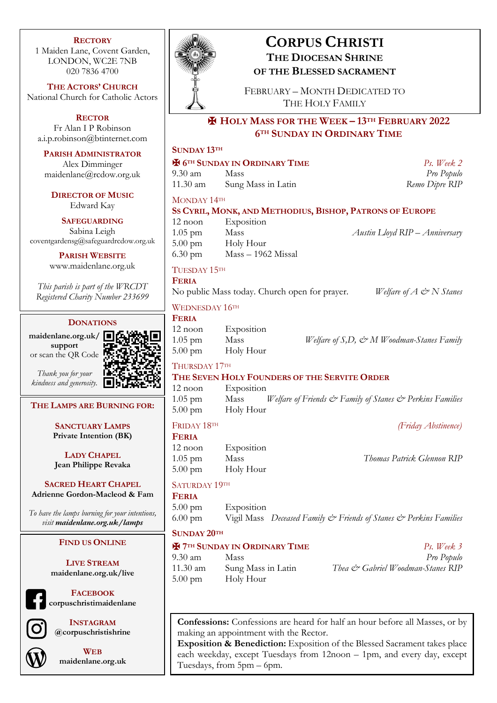### **RECTORY**

1 Maiden Lane, Covent Garden, LONDON, WC2E 7NB 020 7836 4700

**THE ACTORS' CHURCH** National Church for Catholic Actors

**RECTOR** Fr Alan I P Robinson a.i.p.robinson@btinternet.com

**PARISH ADMINISTRATOR** Alex Dimminger

maidenlane@rcdow.org.uk

**DIRECTOR OF MUSIC** Edward Kay

**SAFEGUARDING** Sabina Leigh coventgardensg@safeguardrcdow.org.uk

> **PARISH WEBSITE** www.maidenlane.org.uk

*This parish is part of the WRCDT Registered Charity Number 233699*

## **DONATIONS**

**maidenlane.org.uk/ support** or scan the QR Code



*Thank you for your kindness and generosity.*

**THE LAMPS ARE BURNING FOR:**

**SANCTUARY LAMPS Private Intention (BK)**

**LADY CHAPEL Jean Philippe Revaka**

**SACRED HEART CHAPEL Adrienne Gordon-Macleod & Fam**

*To have the lamps burning for your intentions, visit maidenlane.org.uk/lamps*

### **FIND US ONLINE**

**LIVE STREAM maidenlane.org.uk/live**

**FACEBOOK**

**corpuschristimaidenlane**

**INSTAGRAM @corpuschristishrine**

**WEB maidenlane.org.uk**



# **CORPUS CHRISTI THE DIOCESAN SHRINE OF THE BLESSED SACRAMENT**

FEBRUARY – MONTH DEDICATED TO THE HOLY FAMILY

# ✠ **HOLY MASS FOR THE WEEK – 13TH FEBRUARY 2022 6TH SUNDAY IN ORDINARY TIME**

# **SUNDAY 13TH** ✠ **6TH SUNDAY IN ORDINARY TIME** *Ps. Week 2* 9.30 am Mass *Pro Populo* 11.30 am Sung Mass in Latin *Remo Dipre RIP* MONDAY 14TH

## **SS CYRIL, MONK, AND METHODIUS, BISHOP, PATRONS OF EUROPE**

| 12 noon           | Exposition           |
|-------------------|----------------------|
| $1.05$ pm         | Mass                 |
| $5.00 \text{ pm}$ | Holy Hour            |
| $6.30 \text{ pm}$ | $Mass - 1962$ Missal |

1.05 pm Mass *Austin Lloyd RIP – Anniversary*

## TUESDAY 15TH

**FERIA**

No public Mass today. Church open for prayer. *Welfare of A & N Stanes* 

## WEDNESDAY 16TH

| <b>FERIA</b>      |            |                                                              |
|-------------------|------------|--------------------------------------------------------------|
| $12$ noon         | Exposition |                                                              |
| $1.05$ pm         | Mass       | Welfare of $S$ , $D$ , $\mathcal O^*M$ Woodman-Stanes Family |
| $5.00 \text{ pm}$ | Holy Hour  |                                                              |

#### THURSDAY 17TH **THE SEVEN HOLY FOUNDERS OF THE SERVITE ORDER**

| <u>THE OLITER HOLF TOURDER OF THE OLIMITE ORDER</u> |                                                               |  |  |  |
|-----------------------------------------------------|---------------------------------------------------------------|--|--|--|
| 12 noon                                             | Exposition                                                    |  |  |  |
| $1.05$ pm                                           | Mass Welfare of Friends & Family of Stanes & Perkins Families |  |  |  |
| $5.00 \text{ pm}$                                   | Holy Hour                                                     |  |  |  |

# FRIDAY 18TH *(Friday Abstinence)*

| <b>FERIA</b>      |            |                            |
|-------------------|------------|----------------------------|
| $12$ noon         | Exposition |                            |
| $1.05$ pm         | Mass       | Thomas Patrick Glennon RIP |
| $5.00 \text{ pm}$ | Holy Hour  |                            |

## SATURDAY 19TH

**FERIA**

5.00 pm Exposition 6.00 pm Vigil Mass *Deceased Family & Friends of Stanes & Perkins Families*

## **SUNDAY 20TH**

| <b>E</b> 7 <sup>TH</sup> SUNDAY IN ORDINARY TIME |                    | $Ps.$ Week 3                      |
|--------------------------------------------------|--------------------|-----------------------------------|
| $19.30 \text{ am}$                               | <b>Mass</b>        | Pro Populo                        |
| $11.30 \text{ am}$                               | Sung Mass in Latin | Thea & Gabriel Woodman-Stanes RIP |
| $\vert 5.00 \text{ pm} \vert$                    | Holy Hour          |                                   |

**Confessions:** Confessions are heard for half an hour before all Masses, or by making an appointment with the Rector.

**Exposition & Benediction:** Exposition of the Blessed Sacrament takes place each weekday, except Tuesdays from 12noon – 1pm, and every day, except Tuesdays, from 5pm – 6pm.